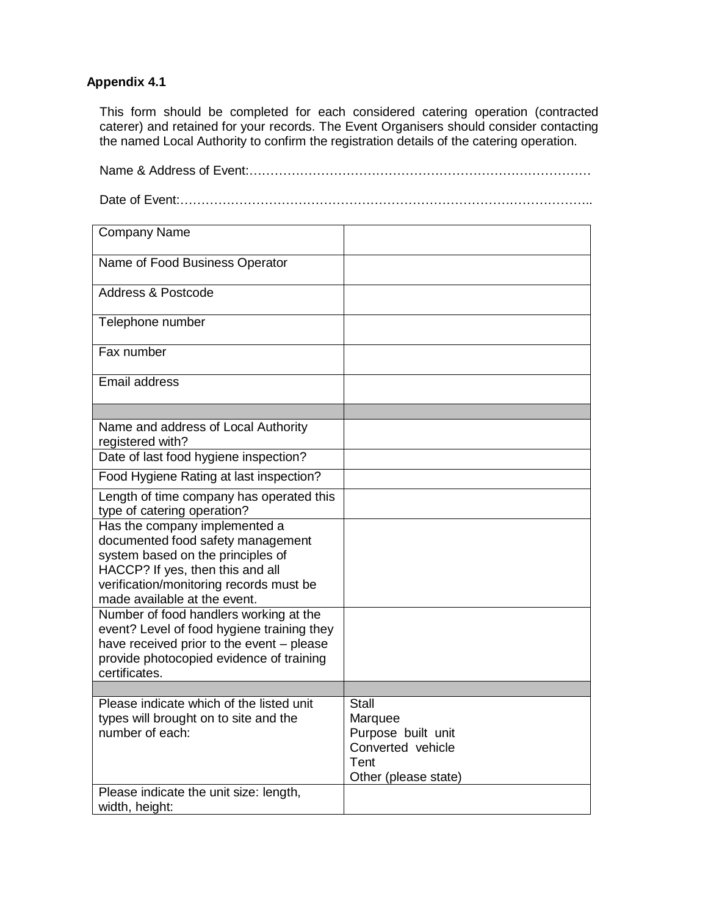## **Appendix 4.1**

This form should be completed for each considered catering operation (contracted caterer) and retained for your records. The Event Organisers should consider contacting the named Local Authority to confirm the registration details of the catering operation.

| <b>Company Name</b>                                                                                         |                                                                                                    |
|-------------------------------------------------------------------------------------------------------------|----------------------------------------------------------------------------------------------------|
| Name of Food Business Operator                                                                              |                                                                                                    |
| <b>Address &amp; Postcode</b>                                                                               |                                                                                                    |
| Telephone number                                                                                            |                                                                                                    |
| Fax number                                                                                                  |                                                                                                    |
| <b>Email address</b>                                                                                        |                                                                                                    |
|                                                                                                             |                                                                                                    |
| Name and address of Local Authority<br>registered with?                                                     |                                                                                                    |
| Date of last food hygiene inspection?                                                                       |                                                                                                    |
| Food Hygiene Rating at last inspection?                                                                     |                                                                                                    |
| Length of time company has operated this<br>type of catering operation?                                     |                                                                                                    |
| Has the company implemented a<br>documented food safety management<br>system based on the principles of     |                                                                                                    |
| HACCP? If yes, then this and all<br>verification/monitoring records must be<br>made available at the event. |                                                                                                    |
| Number of food handlers working at the<br>event? Level of food hygiene training they                        |                                                                                                    |
| have received prior to the event - please<br>provide photocopied evidence of training<br>certificates.      |                                                                                                    |
|                                                                                                             |                                                                                                    |
| Please indicate which of the listed unit<br>types will brought on to site and the<br>number of each:        | <b>Stall</b><br>Marquee<br>Purpose built unit<br>Converted vehicle<br>Tent<br>Other (please state) |
| Please indicate the unit size: length,<br>width, height:                                                    |                                                                                                    |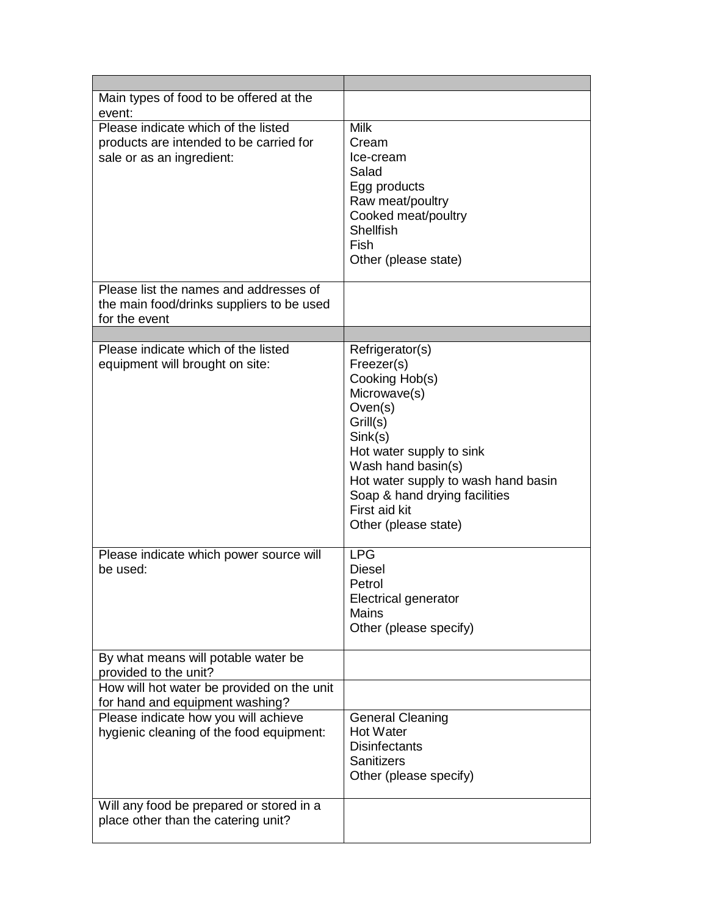| Main types of food to be offered at the<br>event:                                                                 |                                                                                                                                                                                                                                                                                    |
|-------------------------------------------------------------------------------------------------------------------|------------------------------------------------------------------------------------------------------------------------------------------------------------------------------------------------------------------------------------------------------------------------------------|
| Please indicate which of the listed<br>products are intended to be carried for<br>sale or as an ingredient:       | <b>Milk</b><br>Cream<br>Ice-cream<br>Salad<br>Egg products<br>Raw meat/poultry<br>Cooked meat/poultry<br><b>Shellfish</b><br>Fish<br>Other (please state)                                                                                                                          |
| Please list the names and addresses of<br>the main food/drinks suppliers to be used<br>for the event              |                                                                                                                                                                                                                                                                                    |
|                                                                                                                   |                                                                                                                                                                                                                                                                                    |
| Please indicate which of the listed<br>equipment will brought on site:<br>Please indicate which power source will | Refrigerator(s)<br>Freezer(s)<br>Cooking Hob(s)<br>Microwave(s)<br>Oven(s)<br>Grill(s)<br>Sink(s)<br>Hot water supply to sink<br>Wash hand basin(s)<br>Hot water supply to wash hand basin<br>Soap & hand drying facilities<br>First aid kit<br>Other (please state)<br><b>LPG</b> |
| be used:                                                                                                          | <b>Diesel</b><br>Petrol<br><b>Electrical generator</b><br>Mains<br>Other (please specify)                                                                                                                                                                                          |
| By what means will potable water be<br>provided to the unit?                                                      |                                                                                                                                                                                                                                                                                    |
| How will hot water be provided on the unit<br>for hand and equipment washing?                                     |                                                                                                                                                                                                                                                                                    |
| Please indicate how you will achieve<br>hygienic cleaning of the food equipment:                                  | <b>General Cleaning</b><br><b>Hot Water</b><br><b>Disinfectants</b><br><b>Sanitizers</b><br>Other (please specify)                                                                                                                                                                 |
| Will any food be prepared or stored in a<br>place other than the catering unit?                                   |                                                                                                                                                                                                                                                                                    |